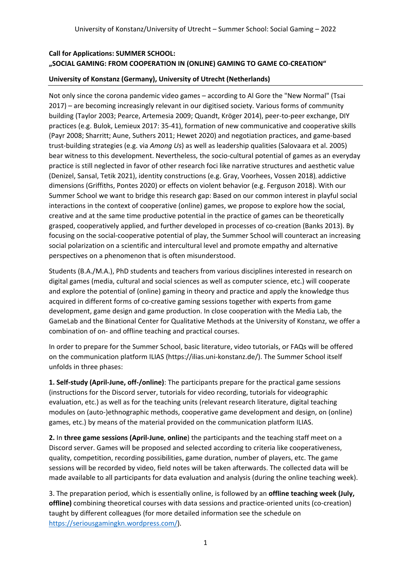# **Call for Applications: SUMMER SCHOOL: "SOCIAL GAMING: FROM COOPERATION IN (ONLINE) GAMING TO GAME CO-CREATION"**

## **University of Konstanz (Germany), University of Utrecht (Netherlands)**

Not only since the corona pandemic video games – according to Al Gore the "New Normal" (Tsai 2017) – are becoming increasingly relevant in our digitised society. Various forms of community building (Taylor 2003; Pearce, Artemesia 2009; Quandt, Kröger 2014), peer-to-peer exchange, DIY practices (e.g. Bulok, Lemieux 2017: 35-41), formation of new communicative and cooperative skills (Payr 2008; Sharritt; Aune, Suthers 2011; Hewet 2020) and negotiation practices, and game-based trust-building strategies (e.g. via *Among Us*) as well as leadership qualities (Salovaara et al. 2005) bear witness to this development. Nevertheless, the socio-cultural potential of games as an everyday practice is still neglected in favor of other research foci like narrative structures and aesthetic value (Denizel, Sansal, Tetik 2021), identity constructions (e.g. Gray, Voorhees, Vossen 2018), addictive dimensions (Griffiths, Pontes 2020) or effects on violent behavior (e.g. Ferguson 2018). With our Summer School we want to bridge this research gap: Based on our common interest in playful social interactions in the context of cooperative (online) games, we propose to explore how the social, creative and at the same time productive potential in the practice of games can be theoretically grasped, cooperatively applied, and further developed in processes of co-creation (Banks 2013). By focusing on the social-cooperative potential of play, the Summer School will counteract an increasing social polarization on a scientific and intercultural level and promote empathy and alternative perspectives on a phenomenon that is often misunderstood.

Students (B.A./M.A.), PhD students and teachers from various disciplines interested in research on digital games (media, cultural and social sciences as well as computer science, etc.) will cooperate and explore the potential of (online) gaming in theory and practice and apply the knowledge thus acquired in different forms of co-creative gaming sessions together with experts from game development, game design and game production. In close cooperation with the Media Lab, the GameLab and the Binational Center for Qualitative Methods at the University of Konstanz, we offer a combination of on- and offline teaching and practical courses.

In order to prepare for the Summer School, basic literature, video tutorials, or FAQs will be offered on the communication platform ILIAS (https://ilias.uni-konstanz.de/). The Summer School itself unfolds in three phases:

**1. Self-study (April-June, off-/online)**: The participants prepare for the practical game sessions (instructions for the Discord server, tutorials for video recording, tutorials for videographic evaluation, etc.) as well as for the teaching units (relevant research literature, digital teaching modules on (auto-)ethnographic methods, cooperative game development and design, on (online) games, etc.) by means of the material provided on the communication platform ILIAS.

**2.** In **three game sessions (April-June**, **online**) the participants and the teaching staff meet on a Discord server. Games will be proposed and selected according to criteria like cooperativeness, quality, competition, recording possibilities, game duration, number of players, etc. The game sessions will be recorded by video, field notes will be taken afterwards. The collected data will be made available to all participants for data evaluation and analysis (during the online teaching week).

3. The preparation period, which is essentially online, is followed by an **offline teaching week (July, offline)** combining theoretical courses with data sessions and practice-oriented units (co-creation) taught by different colleagues (for more detailed information see the schedule on [https://seriousgamingkn.wordpress.com/\)](https://seriousgamingkn.wordpress.com/).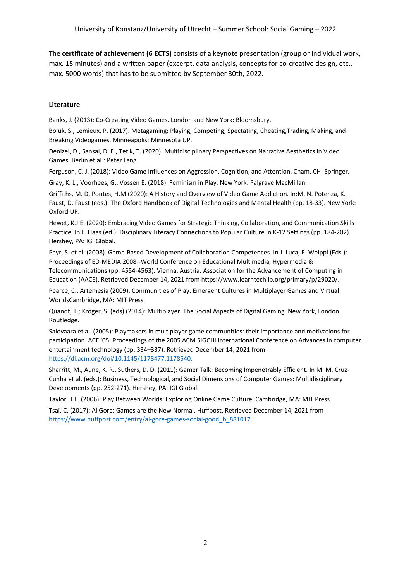The **certificate of achievement (6 ECTS)** consists of a keynote presentation (group or individual work, max. 15 minutes) and a written paper (excerpt, data analysis, concepts for co-creative design, etc., max. 5000 words) that has to be submitted by September 30th, 2022.

## **Literature**

Banks, J. (2013): Co-Creating Video Games. London and New York: Bloomsbury.

Boluk, S., Lemieux, P. (2017). Metagaming: Playing, Competing, Spectating, Cheating,Trading, Making, and Breaking Videogames. Minneapolis: Minnesota UP.

Denizel, D., Sansal, D. E., Tetik, T. (2020): Multidisciplinary Perspectives on Narrative Aesthetics in Video Games. Berlin et al.: Peter Lang.

Ferguson, C. J. (2018): Video Game Influences on Aggression, Cognition, and Attention. Cham, CH: Springer.

Gray, K. L., Voorhees, G., Vossen E. (2018). Feminism in Play. New York: Palgrave MacMillan.

Griffiths, M. D, Pontes, H.M (2020): A History and Overview of Video Game Addiction. In:M. N. Potenza, K. Faust, D. Faust (eds.): The Oxford Handbook of Digital Technologies and Mental Health (pp. 18-33). New York: Oxford UP.

Hewet, K.J.E. (2020): Embracing Video Games for Strategic Thinking, Collaboration, and Communication Skills Practice. In L. Haas (ed.): Disciplinary Literacy Connections to Popular Culture in K-12 Settings (pp. 184-202). Hershey, PA: IGI Global.

Payr, S. et al. (2008). Game-Based Development of Collaboration Competences. In J. Luca, E. Weippl (Eds.): Proceedings of ED-MEDIA 2008--World Conference on Educational Multimedia, Hypermedia & Telecommunications (pp. 4554-4563). Vienna, Austria: Association for the Advancement of Computing in Education (AACE). Retrieved December 14, 2021 from https://www.learntechlib.org/primary/p/29020/.

Pearce, C., Artemesia (2009): Communities of Play. Emergent Cultures in Multiplayer Games and Virtual WorldsCambridge, MA: MIT Press.

Quandt, T.; Kröger, S. (eds) (2014): Multiplayer. The Social Aspects of Digital Gaming. New York, London: Routledge.

Salovaara et al. (2005): Playmakers in multiplayer game communities: their importance and motivations for participation. ACE '05: Proceedings of the 2005 ACM SIGCHI International Conference on Advances in computer entertainment technology (pp. 334–337). Retrieved December 14, 2021 from [https://dl.acm.org/doi/10.1145/1178477.1178540.](https://dl.acm.org/doi/10.1145/1178477.1178540)

Sharritt, M., Aune, K. R., Suthers, D. D. (2011): Gamer Talk: Becoming Impenetrably Efficient. In M. M. Cruz-Cunha et al. (eds.): Business, Technological, and Social Dimensions of Computer Games: Multidisciplinary Developments (pp. 252-271). Hershey, PA: IGI Global.

Taylor, T.L. (2006): Play Between Worlds: Exploring Online Game Culture. Cambridge, MA: MIT Press.

Tsai, C. (2017): Al Gore: Games are the New Normal. Huffpost. Retrieved December 14, 2021 from [https://www.huffpost.com/entry/al-gore-games-social-good\\_b\\_881017.](https://www.huffpost.com/entry/al-gore-games-social-good_b_881017)